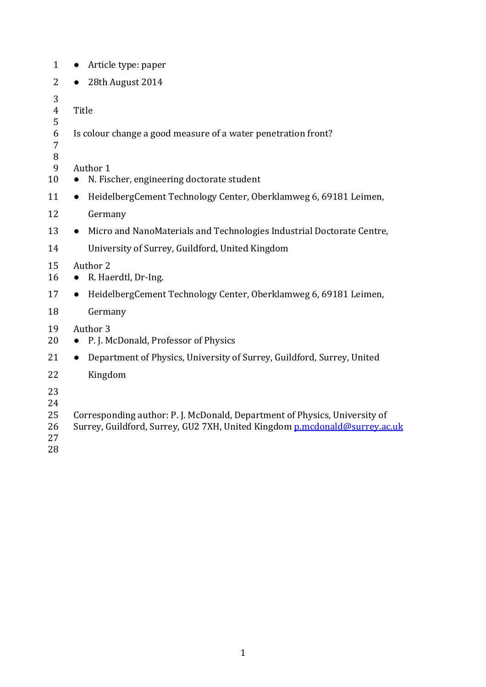| Article type: paper<br>$\bullet$                                                    |  |  |
|-------------------------------------------------------------------------------------|--|--|
| 28th August 2014                                                                    |  |  |
| Title                                                                               |  |  |
| Is colour change a good measure of a water penetration front?                       |  |  |
| Author 1                                                                            |  |  |
| N. Fischer, engineering doctorate student                                           |  |  |
| HeidelbergCement Technology Center, Oberklamweg 6, 69181 Leimen,<br>$\bullet$       |  |  |
| Germany                                                                             |  |  |
| Micro and NanoMaterials and Technologies Industrial Doctorate Centre,<br>$\bullet$  |  |  |
| University of Surrey, Guildford, United Kingdom                                     |  |  |
| Author 2<br>R. Haerdtl, Dr-Ing.                                                     |  |  |
| HeidelbergCement Technology Center, Oberklamweg 6, 69181 Leimen,<br>$\bullet$       |  |  |
| Germany                                                                             |  |  |
| Author <sub>3</sub><br>P. J. McDonald, Professor of Physics                         |  |  |
| Department of Physics, University of Surrey, Guildford, Surrey, United<br>$\bullet$ |  |  |
| Kingdom                                                                             |  |  |
| Corresponding author: P. J. McDonald, Department of Physics, University of          |  |  |
|                                                                                     |  |  |

- 26 Surrey, Guildford, Surrey, GU2 7XH, United Kingdom [p.mcdonald@surrey.ac.uk](mailto:p.mcdonald@surrey.ac.uk)
-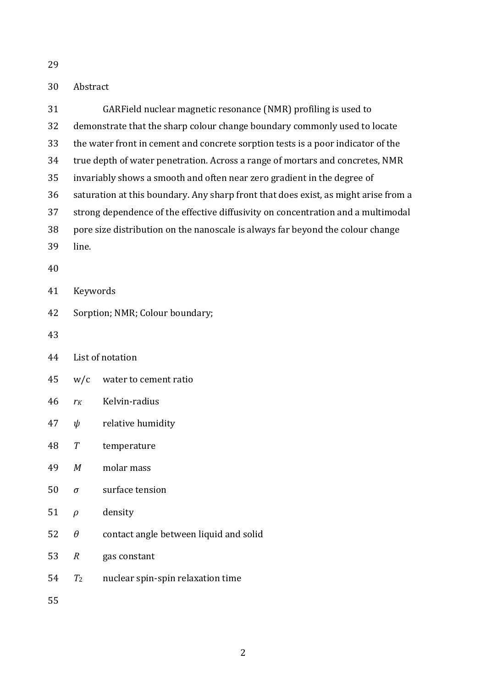# Abstract

| 31 |                                                                                     | GARField nuclear magnetic resonance (NMR) profiling is used to |  |
|----|-------------------------------------------------------------------------------------|----------------------------------------------------------------|--|
| 32 | demonstrate that the sharp colour change boundary commonly used to locate           |                                                                |  |
| 33 | the water front in cement and concrete sorption tests is a poor indicator of the    |                                                                |  |
| 34 | true depth of water penetration. Across a range of mortars and concretes, NMR       |                                                                |  |
| 35 | invariably shows a smooth and often near zero gradient in the degree of             |                                                                |  |
| 36 | saturation at this boundary. Any sharp front that does exist, as might arise from a |                                                                |  |
| 37 | strong dependence of the effective diffusivity on concentration and a multimodal    |                                                                |  |
| 38 | pore size distribution on the nanoscale is always far beyond the colour change      |                                                                |  |
| 39 | line.                                                                               |                                                                |  |
| 40 |                                                                                     |                                                                |  |
| 41 | Keywords                                                                            |                                                                |  |
| 42 | Sorption; NMR; Colour boundary;                                                     |                                                                |  |
| 43 |                                                                                     |                                                                |  |
| 44 | List of notation                                                                    |                                                                |  |
| 45 | W/c                                                                                 | water to cement ratio                                          |  |
| 46 | $r_K$                                                                               | Kelvin-radius                                                  |  |
| 47 | ψ                                                                                   | relative humidity                                              |  |
| 48 | $\boldsymbol{T}$                                                                    | temperature                                                    |  |
| 49 | М                                                                                   | molar mass                                                     |  |
| 50 | $\sigma$                                                                            | surface tension                                                |  |
| 51 | $\rho$                                                                              | density                                                        |  |
| 52 | $\theta$                                                                            | contact angle between liquid and solid                         |  |
| 53 | $\boldsymbol{R}$                                                                    | gas constant                                                   |  |
| 54 | T <sub>2</sub>                                                                      | nuclear spin-spin relaxation time                              |  |
| 55 |                                                                                     |                                                                |  |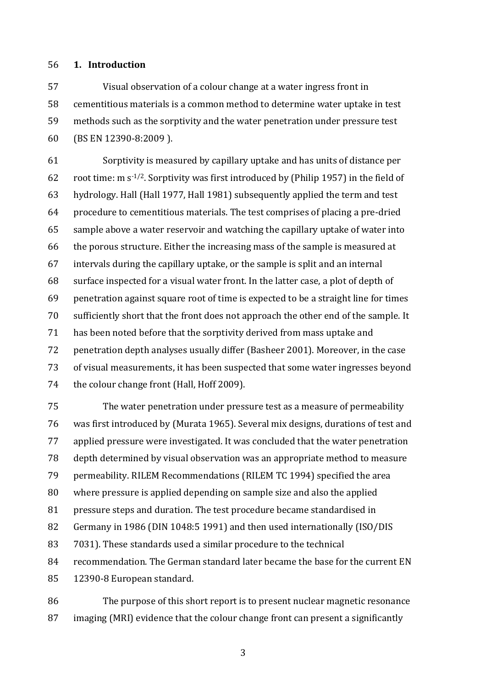# **1. Introduction**

 Visual observation of a colour change at a water ingress front in cementitious materials is a common method to determine water uptake in test methods such as the sorptivity and the water penetration under pressure test (BS EN 12390-8:2009 ).

 Sorptivity is measured by capillary uptake and has units of distance per 62 root time: m  $s^{-1/2}$ . Sorptivity was first introduced by (Philip 1957) in the field of hydrology. Hall (Hall 1977, Hall 1981) subsequently applied the term and test procedure to cementitious materials. The test comprises of placing a pre-dried sample above a water reservoir and watching the capillary uptake of water into the porous structure. Either the increasing mass of the sample is measured at intervals during the capillary uptake, or the sample is split and an internal surface inspected for a visual water front. In the latter case, a plot of depth of penetration against square root of time is expected to be a straight line for times sufficiently short that the front does not approach the other end of the sample. It has been noted before that the sorptivity derived from mass uptake and penetration depth analyses usually differ (Basheer 2001). Moreover, in the case of visual measurements, it has been suspected that some water ingresses beyond 74 the colour change front (Hall, Hoff 2009).

 The water penetration under pressure test as a measure of permeability was first introduced by (Murata 1965). Several mix designs, durations of test and applied pressure were investigated. It was concluded that the water penetration depth determined by visual observation was an appropriate method to measure permeability. RILEM Recommendations (RILEM TC 1994) specified the area where pressure is applied depending on sample size and also the applied pressure steps and duration. The test procedure became standardised in Germany in 1986 (DIN 1048:5 1991) and then used internationally (ISO/DIS 7031). These standards used a similar procedure to the technical recommendation. The German standard later became the base for the current EN 12390-8 European standard.

 The purpose of this short report is to present nuclear magnetic resonance imaging (MRI) evidence that the colour change front can present a significantly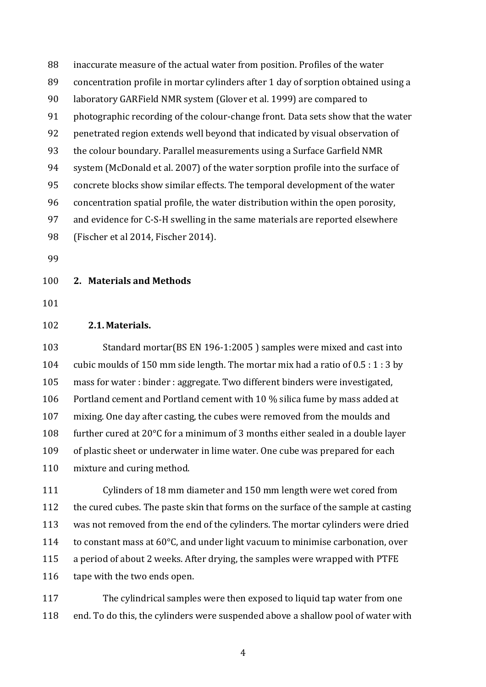inaccurate measure of the actual water from position. Profiles of the water concentration profile in mortar cylinders after 1 day of sorption obtained using a laboratory GARField NMR system (Glover et al. 1999) are compared to photographic recording of the colour-change front. Data sets show that the water penetrated region extends well beyond that indicated by visual observation of the colour boundary. Parallel measurements using a Surface Garfield NMR system (McDonald et al. 2007) of the water sorption profile into the surface of concrete blocks show similar effects. The temporal development of the water concentration spatial profile, the water distribution within the open porosity, and evidence for C-S-H swelling in the same materials are reported elsewhere (Fischer et al 2014, Fischer 2014).

# **2. Materials and Methods**

# **2.1. Materials.**

 Standard mortar(BS EN 196-1:2005 ) samples were mixed and cast into cubic moulds of 150 mm side length. The mortar mix had a ratio of 0.5 : 1 : 3 by mass for water : binder : aggregate. Two different binders were investigated, Portland cement and Portland cement with 10 % silica fume by mass added at mixing. One day after casting, the cubes were removed from the moulds and further cured at 20°C for a minimum of 3 months either sealed in a double layer of plastic sheet or underwater in lime water. One cube was prepared for each mixture and curing method.

 Cylinders of 18 mm diameter and 150 mm length were wet cored from the cured cubes. The paste skin that forms on the surface of the sample at casting was not removed from the end of the cylinders. The mortar cylinders were dried to constant mass at 60°C, and under light vacuum to minimise carbonation, over a period of about 2 weeks. After drying, the samples were wrapped with PTFE 116 tape with the two ends open.

 The cylindrical samples were then exposed to liquid tap water from one end. To do this, the cylinders were suspended above a shallow pool of water with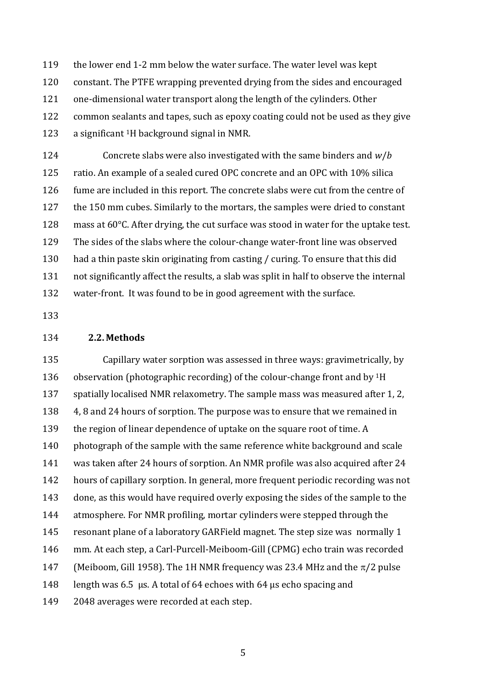the lower end 1-2 mm below the water surface. The water level was kept constant. The PTFE wrapping prevented drying from the sides and encouraged one-dimensional water transport along the length of the cylinders. Other common sealants and tapes, such as epoxy coating could not be used as they give  $\alpha$  significant <sup>1</sup>H background signal in NMR.

 Concrete slabs were also investigated with the same binders and *w*/*b* ratio. An example of a sealed cured OPC concrete and an OPC with 10% silica fume are included in this report. The concrete slabs were cut from the centre of 127 the 150 mm cubes. Similarly to the mortars, the samples were dried to constant mass at 60°C. After drying, the cut surface was stood in water for the uptake test. The sides of the slabs where the colour-change water-front line was observed had a thin paste skin originating from casting / curing. To ensure that this did not significantly affect the results, a slab was split in half to observe the internal water-front. It was found to be in good agreement with the surface.

#### **2.2. Methods**

 Capillary water sorption was assessed in three ways: gravimetrically, by 136 observation (photographic recording) of the colour-change front and by  $1H$  spatially localised NMR relaxometry. The sample mass was measured after 1, 2, 4, 8 and 24 hours of sorption. The purpose was to ensure that we remained in 139 the region of linear dependence of uptake on the square root of time. A photograph of the sample with the same reference white background and scale was taken after 24 hours of sorption. An NMR profile was also acquired after 24 hours of capillary sorption. In general, more frequent periodic recording was not done, as this would have required overly exposing the sides of the sample to the atmosphere. For NMR profiling, mortar cylinders were stepped through the resonant plane of a laboratory GARField magnet. The step size was normally 1 mm. At each step, a Carl-Purcell-Meiboom-Gill (CPMG) echo train was recorded 147 (Meiboom, Gill 1958). The 1H NMR frequency was 23.4 MHz and the  $\pi/2$  pulse length was 6.5 μs. A total of 64 echoes with 64 μs echo spacing and 2048 averages were recorded at each step.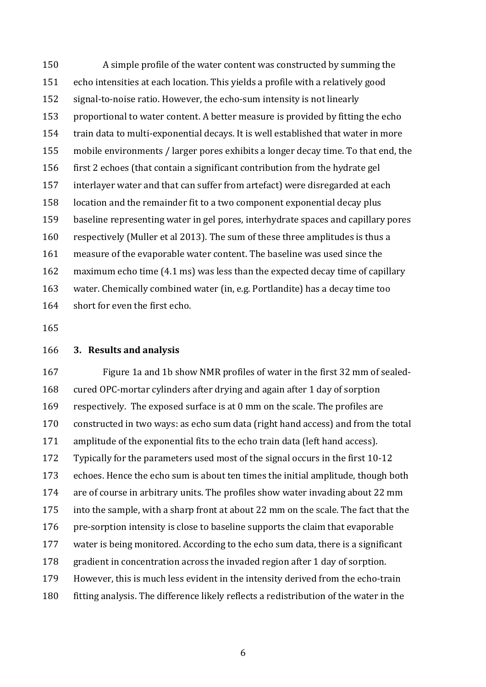A simple profile of the water content was constructed by summing the echo intensities at each location. This yields a profile with a relatively good signal-to-noise ratio. However, the echo-sum intensity is not linearly proportional to water content. A better measure is provided by fitting the echo train data to multi-exponential decays. It is well established that water in more mobile environments / larger pores exhibits a longer decay time. To that end, the first 2 echoes (that contain a significant contribution from the hydrate gel interlayer water and that can suffer from artefact) were disregarded at each location and the remainder fit to a two component exponential decay plus baseline representing water in gel pores, interhydrate spaces and capillary pores respectively (Muller et al 2013). The sum of these three amplitudes is thus a measure of the evaporable water content. The baseline was used since the maximum echo time (4.1 ms) was less than the expected decay time of capillary water. Chemically combined water (in, e.g. Portlandite) has a decay time too short for even the first echo.

#### **3. Results and analysis**

 Figure 1a and 1b show NMR profiles of water in the first 32 mm of sealed- cured OPC-mortar cylinders after drying and again after 1 day of sorption respectively. The exposed surface is at 0 mm on the scale. The profiles are constructed in two ways: as echo sum data (right hand access) and from the total amplitude of the exponential fits to the echo train data (left hand access). Typically for the parameters used most of the signal occurs in the first 10-12 echoes. Hence the echo sum is about ten times the initial amplitude, though both are of course in arbitrary units. The profiles show water invading about 22 mm into the sample, with a sharp front at about 22 mm on the scale. The fact that the pre-sorption intensity is close to baseline supports the claim that evaporable water is being monitored. According to the echo sum data, there is a significant gradient in concentration across the invaded region after 1 day of sorption. However, this is much less evident in the intensity derived from the echo-train fitting analysis. The difference likely reflects a redistribution of the water in the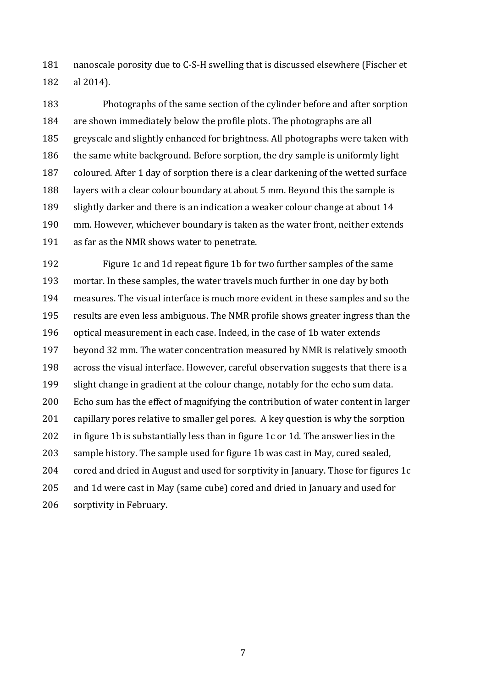nanoscale porosity due to C-S-H swelling that is discussed elsewhere (Fischer et al 2014).

 Photographs of the same section of the cylinder before and after sorption are shown immediately below the profile plots. The photographs are all greyscale and slightly enhanced for brightness. All photographs were taken with the same white background. Before sorption, the dry sample is uniformly light coloured. After 1 day of sorption there is a clear darkening of the wetted surface layers with a clear colour boundary at about 5 mm. Beyond this the sample is slightly darker and there is an indication a weaker colour change at about 14 mm. However, whichever boundary is taken as the water front, neither extends as far as the NMR shows water to penetrate.

 Figure 1c and 1d repeat figure 1b for two further samples of the same mortar. In these samples, the water travels much further in one day by both measures. The visual interface is much more evident in these samples and so the results are even less ambiguous. The NMR profile shows greater ingress than the optical measurement in each case. Indeed, in the case of 1b water extends beyond 32 mm. The water concentration measured by NMR is relatively smooth across the visual interface. However, careful observation suggests that there is a slight change in gradient at the colour change, notably for the echo sum data. Echo sum has the effect of magnifying the contribution of water content in larger capillary pores relative to smaller gel pores. A key question is why the sorption in figure 1b is substantially less than in figure 1c or 1d. The answer lies in the sample history. The sample used for figure 1b was cast in May, cured sealed, cored and dried in August and used for sorptivity in January. Those for figures 1c and 1d were cast in May (same cube) cored and dried in January and used for sorptivity in February.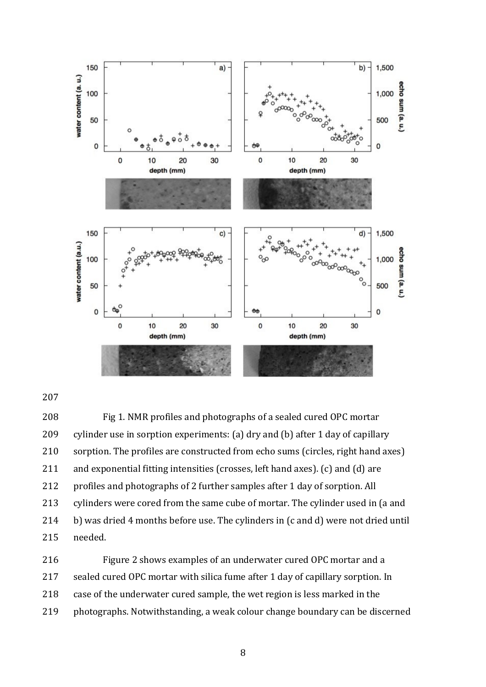

 Fig 1. NMR profiles and photographs of a sealed cured OPC mortar cylinder use in sorption experiments: (a) dry and (b) after 1 day of capillary sorption. The profiles are constructed from echo sums (circles, right hand axes) and exponential fitting intensities (crosses, left hand axes). (c) and (d) are profiles and photographs of 2 further samples after 1 day of sorption. All cylinders were cored from the same cube of mortar. The cylinder used in (a and b) was dried 4 months before use. The cylinders in (c and d) were not dried until needed.

 Figure 2 shows examples of an underwater cured OPC mortar and a sealed cured OPC mortar with silica fume after 1 day of capillary sorption. In case of the underwater cured sample, the wet region is less marked in the photographs. Notwithstanding, a weak colour change boundary can be discerned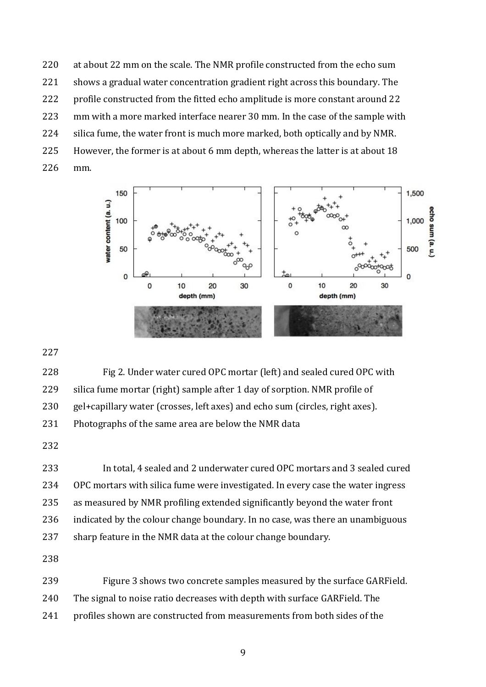at about 22 mm on the scale. The NMR profile constructed from the echo sum 221 shows a gradual water concentration gradient right across this boundary. The profile constructed from the fitted echo amplitude is more constant around 22 mm with a more marked interface nearer 30 mm. In the case of the sample with silica fume, the water front is much more marked, both optically and by NMR. However, the former is at about 6 mm depth, whereas the latter is at about 18 mm.



 Fig 2. Under water cured OPC mortar (left) and sealed cured OPC with silica fume mortar (right) sample after 1 day of sorption. NMR profile of gel+capillary water (crosses, left axes) and echo sum (circles, right axes). 231 Photographs of the same area are below the NMR data

 In total, 4 sealed and 2 underwater cured OPC mortars and 3 sealed cured OPC mortars with silica fume were investigated. In every case the water ingress as measured by NMR profiling extended significantly beyond the water front indicated by the colour change boundary. In no case, was there an unambiguous 237 sharp feature in the NMR data at the colour change boundary. 

- 
- Figure 3 shows two concrete samples measured by the surface GARField.
- The signal to noise ratio decreases with depth with surface GARField. The
- profiles shown are constructed from measurements from both sides of the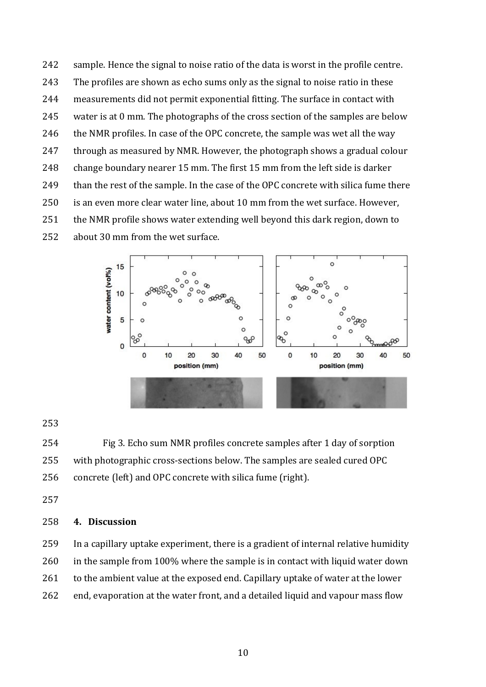sample. Hence the signal to noise ratio of the data is worst in the profile centre. The profiles are shown as echo sums only as the signal to noise ratio in these measurements did not permit exponential fitting. The surface in contact with water is at 0 mm. The photographs of the cross section of the samples are below 246 the NMR profiles. In case of the OPC concrete, the sample was wet all the way through as measured by NMR. However, the photograph shows a gradual colour change boundary nearer 15 mm. The first 15 mm from the left side is darker 249 than the rest of the sample. In the case of the OPC concrete with silica fume there is an even more clear water line, about 10 mm from the wet surface. However, the NMR profile shows water extending well beyond this dark region, down to about 30 mm from the wet surface.



 Fig 3. Echo sum NMR profiles concrete samples after 1 day of sorption with photographic cross-sections below. The samples are sealed cured OPC concrete (left) and OPC concrete with silica fume (right).

# **4. Discussion**

 In a capillary uptake experiment, there is a gradient of internal relative humidity in the sample from 100% where the sample is in contact with liquid water down 261 to the ambient value at the exposed end. Capillary uptake of water at the lower end, evaporation at the water front, and a detailed liquid and vapour mass flow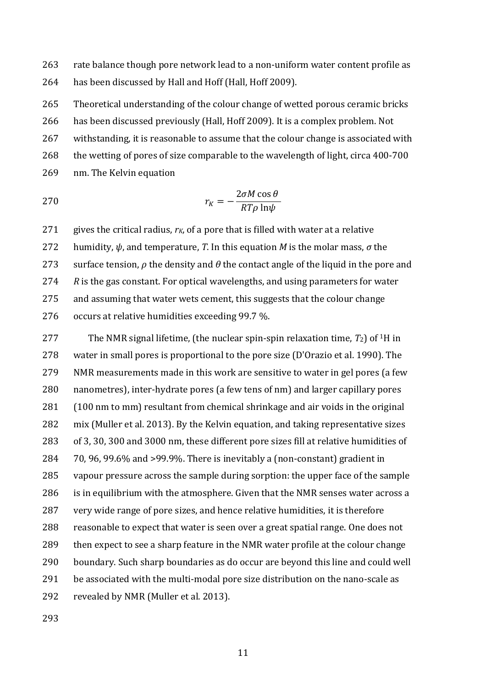263 rate balance though pore network lead to a non-uniform water content profile as has been discussed by Hall and Hoff (Hall, Hoff 2009).

 Theoretical understanding of the colour change of wetted porous ceramic bricks has been discussed previously (Hall, Hoff 2009). It is a complex problem. Not withstanding, it is reasonable to assume that the colour change is associated with the wetting of pores of size comparable to the wavelength of light, circa 400-700 nm. The Kelvin equation

$$
r_K = -\frac{2\sigma M \cos \theta}{RT\rho \ln \psi}
$$

 gives the critical radius, *rK*, of a pore that is filled with water at a relative humidity, *ψ*, and temperature, *T*. In this equation *M* is the molar mass, *σ* the 273 surface tension,  $\rho$  the density and  $\theta$  the contact angle of the liquid in the pore and *R* is the gas constant. For optical wavelengths, and using parameters for water and assuming that water wets cement, this suggests that the colour change occurs at relative humidities exceeding 99.7 %.

The NMR signal lifetime, (the nuclear spin-spin relaxation time,  $T_2$ ) of <sup>1</sup>H in water in small pores is proportional to the pore size (D'Orazio et al. 1990). The NMR measurements made in this work are sensitive to water in gel pores (a few nanometres), inter-hydrate pores (a few tens of nm) and larger capillary pores (100 nm to mm) resultant from chemical shrinkage and air voids in the original mix (Muller et al. 2013). By the Kelvin equation, and taking representative sizes of 3, 30, 300 and 3000 nm, these different pore sizes fill at relative humidities of 70, 96, 99.6% and >99.9%. There is inevitably a (non-constant) gradient in vapour pressure across the sample during sorption: the upper face of the sample is in equilibrium with the atmosphere. Given that the NMR senses water across a very wide range of pore sizes, and hence relative humidities, it is therefore reasonable to expect that water is seen over a great spatial range. One does not then expect to see a sharp feature in the NMR water profile at the colour change boundary. Such sharp boundaries as do occur are beyond this line and could well be associated with the multi-modal pore size distribution on the nano-scale as revealed by NMR (Muller et al. 2013).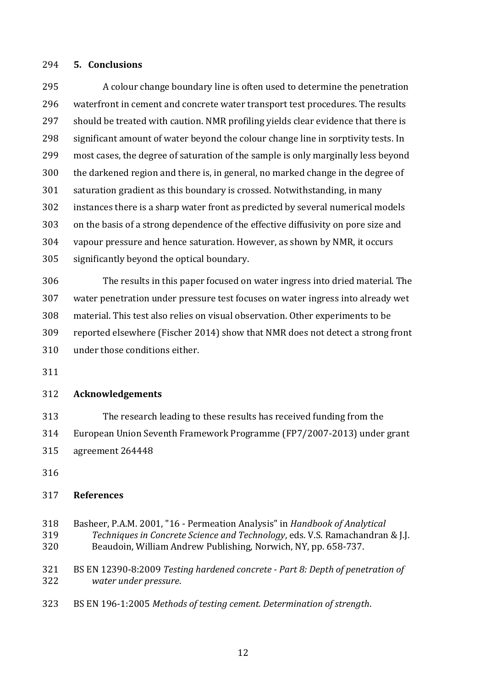#### **5. Conclusions**

 A colour change boundary line is often used to determine the penetration waterfront in cement and concrete water transport test procedures. The results should be treated with caution. NMR profiling yields clear evidence that there is significant amount of water beyond the colour change line in sorptivity tests. In most cases, the degree of saturation of the sample is only marginally less beyond the darkened region and there is, in general, no marked change in the degree of saturation gradient as this boundary is crossed. Notwithstanding, in many instances there is a sharp water front as predicted by several numerical models on the basis of a strong dependence of the effective diffusivity on pore size and vapour pressure and hence saturation. However, as shown by NMR, it occurs significantly beyond the optical boundary.

 The results in this paper focused on water ingress into dried material. The water penetration under pressure test focuses on water ingress into already wet material. This test also relies on visual observation. Other experiments to be reported elsewhere (Fischer 2014) show that NMR does not detect a strong front under those conditions either.

# **Acknowledgements**

 The research leading to these results has received funding from the European Union Seventh Framework Programme (FP7/2007-2013) under grant

- agreement 264448
- 

# **References**

- Basheer, P.A.M. 2001, "16 Permeation Analysis" in *Handbook of Analytical Techniques in Concrete Science and Technology*, eds. V.S. Ramachandran & J.J. Beaudoin, William Andrew Publishing, Norwich, NY, pp. 658-737.
- BS EN 12390-8:2009 *Testing hardened concrete - Part 8: Depth of penetration of water under pressure*.
- BS EN 196-1:2005 *Methods of testing cement. Determination of strength*.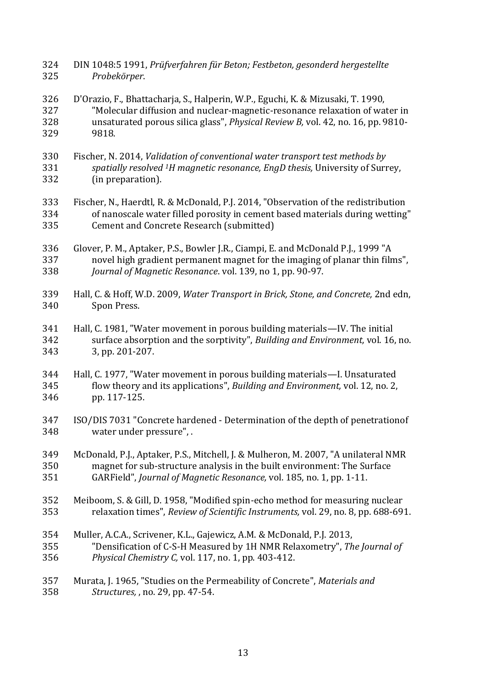- DIN 1048:5 1991, *Prüfverfahren für Beton; Festbeton, gesonderd hergestellte Probekörper*.
- D'Orazio, F., Bhattacharja, S., Halperin, W.P., Eguchi, K. & Mizusaki, T. 1990, "Molecular diffusion and nuclear-magnetic-resonance relaxation of water in unsaturated porous silica glass", *Physical Review B,* vol. 42, no. 16, pp. 9810- 9818.
- Fischer, N. 2014, *Validation of conventional water transport test methods by spatially resolved <sup>1</sup>H magnetic resonance, EngD thesis,* University of Surrey, (in preparation).
- Fischer, N., Haerdtl, R. & McDonald, P.J. 2014, "Observation of the redistribution of nanoscale water filled porosity in cement based materials during wetting" Cement and Concrete Research (submitted)
- Glover, P. M., Aptaker, P.S., Bowler J.R., Ciampi, E. and McDonald P.J., 1999 "A novel high gradient permanent magnet for the imaging of planar thin films", *Journal of Magnetic Resonance*. vol. 139, no 1, pp. 90-97.
- Hall, C. & Hoff, W.D. 2009, *Water Transport in Brick, Stone, and Concrete,* 2nd edn, Spon Press.
- Hall, C. 1981, "Water movement in porous building materials—IV. The initial surface absorption and the sorptivity", *Building and Environment,* vol. 16, no. 3, pp. 201-207.
- Hall, C. 1977, "Water movement in porous building materials—I. Unsaturated flow theory and its applications", *Building and Environment,* vol. 12, no. 2, pp. 117-125.
- ISO/DIS 7031 "Concrete hardened Determination of the depth of penetrationof water under pressure", .
- McDonald, P.J., Aptaker, P.S., Mitchell, J. & Mulheron, M. 2007, "A unilateral NMR magnet for sub-structure analysis in the built environment: The Surface GARField", *Journal of Magnetic Resonance,* vol. 185, no. 1, pp. 1-11.
- Meiboom, S. & Gill, D. 1958, "Modified spin-echo method for measuring nuclear relaxation times", *Review of Scientific Instruments,* vol. 29, no. 8, pp. 688-691.
- Muller, A.C.A., Scrivener, K.L., Gajewicz, A.M. & McDonald, P.J. 2013, "Densification of C-S-H Measured by 1H NMR Relaxometry", *The Journal of Physical Chemistry C,* vol. 117, no. 1, pp. 403-412.
- Murata, J. 1965, "Studies on the Permeability of Concrete", *Materials and Structures,* , no. 29, pp. 47-54.